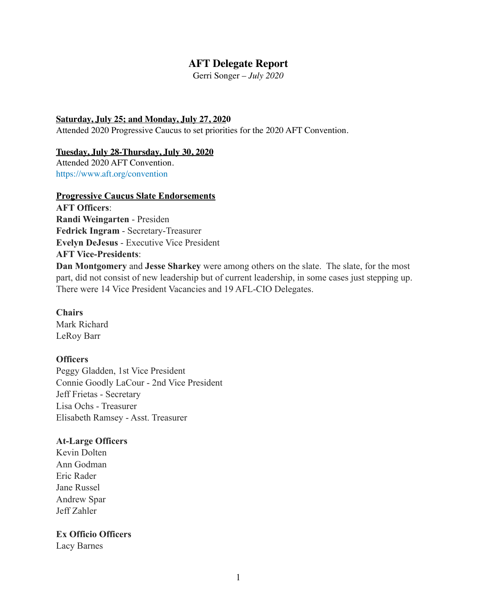# **AFT Delegate Report**

Gerri Songer – *July 2020* 

#### **Saturday, July 25; and Monday, July 27, 2020**

Attended 2020 Progressive Caucus to set priorities for the 2020 AFT Convention.

#### **Tuesday, July 28-Thursday, July 30, 2020**

Attended 2020 AFT Convention. https://www.aft.org/convention

#### **Progressive Caucus Slate Endorsements**

**AFT Officers**: **Randi Weingarten** - Presiden **Fedrick Ingram** - Secretary-Treasurer **Evelyn DeJesus** - Executive Vice President **AFT Vice-Presidents**:

**Dan Montgomery** and **Jesse Sharkey** were among others on the slate. The slate, for the most part, did not consist of new leadership but of current leadership, in some cases just stepping up. There were 14 Vice President Vacancies and 19 AFL-CIO Delegates.

**Chairs**  Mark Richard LeRoy Barr

#### **Officers**

Peggy Gladden, 1st Vice President Connie Goodly LaCour - 2nd Vice President Jeff Frietas - Secretary Lisa Ochs - Treasurer Elisabeth Ramsey - Asst. Treasurer

#### **At-Large Officers**

Kevin Dolten Ann Godman Eric Rader Jane Russel Andrew Spar Jeff Zahler

#### **Ex Officio Officers**

Lacy Barnes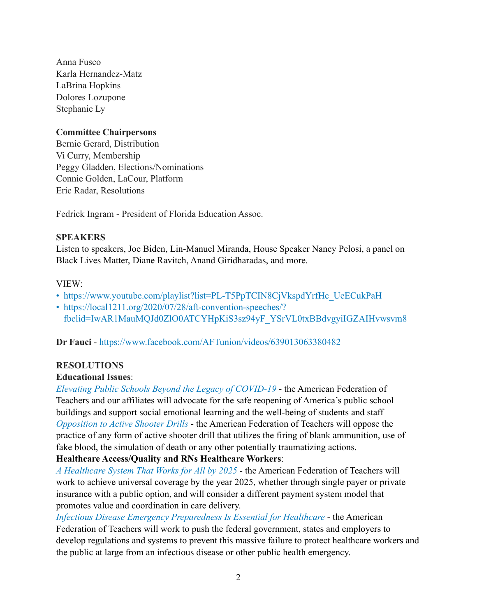Anna Fusco Karla Hernandez-Matz LaBrina Hopkins Dolores Lozupone Stephanie Ly

## **Committee Chairpersons**

Bernie Gerard, Distribution Vi Curry, Membership Peggy Gladden, Elections/Nominations Connie Golden, LaCour, Platform Eric Radar, Resolutions

Fedrick Ingram - President of Florida Education Assoc.

### **SPEAKERS**

Listen to speakers, Joe Biden, Lin-Manuel Miranda, House Speaker Nancy Pelosi, a panel on Black Lives Matter, Diane Ravitch, Anand Giridharadas, and more.

### VIEW:

- [https://www.youtube.com/playlist?list=PL-T5PpTCIN8CjVkspdYrfHc\\_UeECukPaH](https://www.youtube.com/playlist?list=PL-T5PpTCIN8CjVkspdYrfHc_UeECukPaH)
- [https://local1211.org/2020/07/28/aft-convention-speeches/?](https://local1211.org/2020/07/28/aft-convention-speeches/?fbclid=IwAR1MauMQJd0ZlO0ATCYHpKiS3sz94yF_YSrVL0txBBdvgyiIGZAIHvwsvm8) [fbclid=IwAR1MauMQJd0ZlO0ATCYHpKiS3sz94yF\\_YSrVL0txBBdvgyiIGZAIHvwsvm8](https://local1211.org/2020/07/28/aft-convention-speeches/?fbclid=IwAR1MauMQJd0ZlO0ATCYHpKiS3sz94yF_YSrVL0txBBdvgyiIGZAIHvwsvm8)

**Dr Fauci** - https://www.facebook.com/AFTunion/videos/639013063380482

# **RESOLUTIONS**

# **Educational Issues**:

*Elevating Public Schools Beyond the Legacy of COVID-19* - the American Federation of Teachers and our affiliates will advocate for the safe reopening of America's public school buildings and support social emotional learning and the well-being of students and staff *Opposition to Active Shooter Drills* - the American Federation of Teachers will oppose the practice of any form of active shooter drill that utilizes the firing of blank ammunition, use of fake blood, the simulation of death or any other potentially traumatizing actions.

## **Healthcare Access/Quality and RNs Healthcare Workers**:

*A Healthcare System That Works for All by 2025* - the American Federation of Teachers will work to achieve universal coverage by the year 2025, whether through single payer or private insurance with a public option, and will consider a different payment system model that promotes value and coordination in care delivery.

*Infectious Disease Emergency Preparedness Is Essential for Healthcare* - the American Federation of Teachers will work to push the federal government, states and employers to develop regulations and systems to prevent this massive failure to protect healthcare workers and the public at large from an infectious disease or other public health emergency.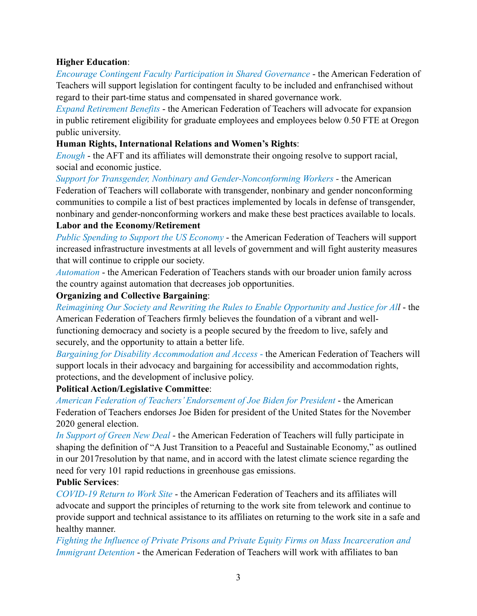# **Higher Education**:

*Encourage Contingent Faculty Participation in Shared Governance* - the American Federation of Teachers will support legislation for contingent faculty to be included and enfranchised without regard to their part-time status and compensated in shared governance work.

*Expand Retirement Benefits* - the American Federation of Teachers will advocate for expansion in public retirement eligibility for graduate employees and employees below 0.50 FTE at Oregon public university.

### **Human Rights, International Relations and Women's Rights**:

*Enough* - the AFT and its affiliates will demonstrate their ongoing resolve to support racial, social and economic justice.

*Support for Transgender, Nonbinary and Gender-Nonconforming Workers -* the American Federation of Teachers will collaborate with transgender, nonbinary and gender nonconforming communities to compile a list of best practices implemented by locals in defense of transgender, nonbinary and gender-nonconforming workers and make these best practices available to locals.

### **Labor and the Economy/Retirement**

*Public Spending to Support the US Economy* - the American Federation of Teachers will support increased infrastructure investments at all levels of government and will fight austerity measures that will continue to cripple our society.

*Automation* - the American Federation of Teachers stands with our broader union family across the country against automation that decreases job opportunities.

### **Organizing and Collective Bargaining**:

*Reimagining Our Society and Rewriting the Rules to Enable Opportunity and Justice for All* - the American Federation of Teachers firmly believes the foundation of a vibrant and wellfunctioning democracy and society is a people secured by the freedom to live, safely and securely, and the opportunity to attain a better life.

*Bargaining for Disability Accommodation and Access* - the American Federation of Teachers will support locals in their advocacy and bargaining for accessibility and accommodation rights, protections, and the development of inclusive policy.

# **Political Action/Legislative Committee**:

*American Federation of Teachers' Endorsement of Joe Biden for President* - the American Federation of Teachers endorses Joe Biden for president of the United States for the November 2020 general election.

*In Support of Green New Deal* - the American Federation of Teachers will fully participate in shaping the definition of "A Just Transition to a Peaceful and Sustainable Economy," as outlined in our 2017resolution by that name, and in accord with the latest climate science regarding the need for very 101 rapid reductions in greenhouse gas emissions.

# **Public Services**:

*COVID-19 Return to Work Site* - the American Federation of Teachers and its affiliates will advocate and support the principles of returning to the work site from telework and continue to provide support and technical assistance to its affiliates on returning to the work site in a safe and healthy manner.

*Fighting the Influence of Private Prisons and Private Equity Firms on Mass Incarceration and Immigrant Detention* - the American Federation of Teachers will work with affiliates to ban